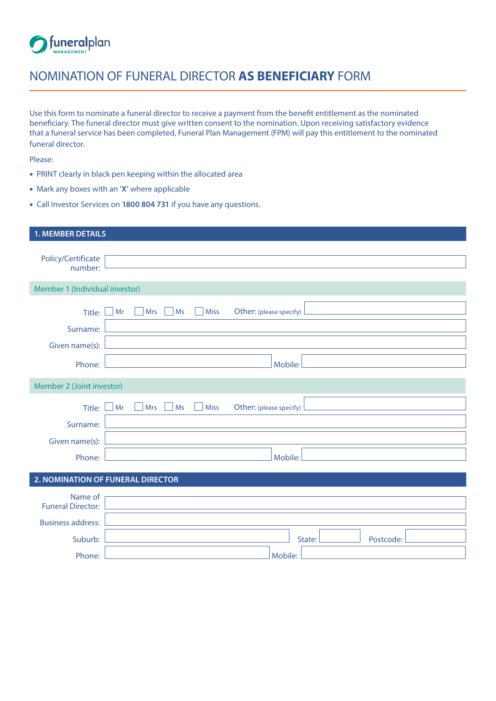

## NOMINATION OF FUNERAL DIRECTOR **AS BENEFICIARY** FORM

Use this form to nominate a funeral director to receive a payment from the benefit entitlement as the nominated beneficiary. The funeral director must give written consent to the nomination. Upon receiving satisfactory evidence that a funeral service has been completed, Funeral Plan Management (FPM) will pay this entitlement to the nominated funeral director.

Please:

- PRINT clearly in black pen keeping within the allocated area
- Mark any boxes with an '**X'** where applicable
- Call Investor Services on **1800 804 731** if you have any questions.

| <b>1. MEMBER DETAILS</b>            |                                                           |  |  |
|-------------------------------------|-----------------------------------------------------------|--|--|
| Policy/Certificate<br>number:       |                                                           |  |  |
| Member 1 (Individual investor)      |                                                           |  |  |
| Title: l<br>Surname:                | Mr<br><b>Miss</b><br>Other: (please specify)<br>Mrs<br>Ms |  |  |
| Given name(s):<br>Phone:            | Mobile:                                                   |  |  |
| Member 2 (Joint investor)           |                                                           |  |  |
| Title:<br>Surname:                  | Mrs<br><b>Miss</b><br>Other: (please specify)<br>Mr<br>Ms |  |  |
| Given name(s):<br>Phone:            | Mobile:                                                   |  |  |
| 2. NOMINATION OF FUNERAL DIRECTOR   |                                                           |  |  |
| Name of<br><b>Funeral Director:</b> |                                                           |  |  |
| <b>Business address:</b>            |                                                           |  |  |
| Suburb:<br>Phone:                   | State:<br>Postcode:<br>Mobile:                            |  |  |